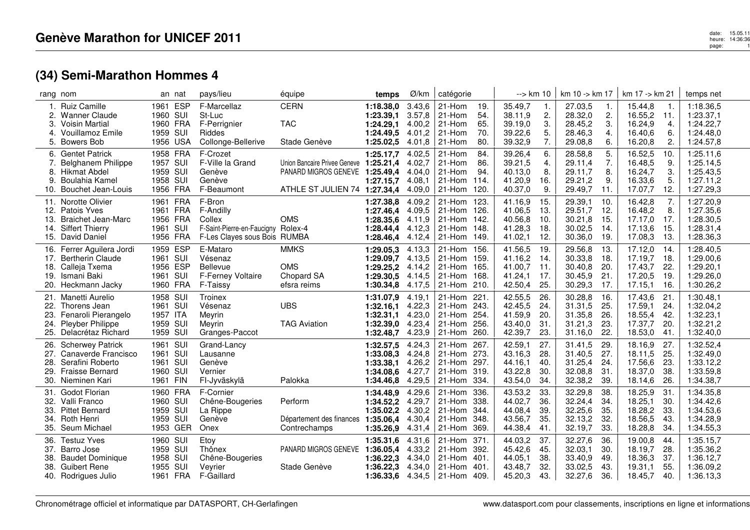|                                        | rang nom                                                                                                              | an nat                                                   |            | pays/lieu                                                                                           | équipe                                                                                                   | temps                                                         | Ø/km                                           | catégorie                                                  |                                       | --> km 10                                           |                                 | $km 10 - k m 17$                                    |                                   | km 17 -> km 21                                      |                                       | temps net                                                     |
|----------------------------------------|-----------------------------------------------------------------------------------------------------------------------|----------------------------------------------------------|------------|-----------------------------------------------------------------------------------------------------|----------------------------------------------------------------------------------------------------------|---------------------------------------------------------------|------------------------------------------------|------------------------------------------------------------|---------------------------------------|-----------------------------------------------------|---------------------------------|-----------------------------------------------------|-----------------------------------|-----------------------------------------------------|---------------------------------------|---------------------------------------------------------------|
| $\mathbf{1}$ .<br>2.<br>3.<br>4.<br>5. | <b>Ruiz Camille</b><br><b>Wanner Claude</b><br><b>Voisin Martial</b><br><b>Vouillamoz Emile</b><br><b>Bowers Bob</b>  | 1961<br>1960 SUI<br>1960 FRA<br>1959 SUI<br>1956 USA     | <b>ESP</b> | F-Marcellaz<br>St-Luc<br>F-Perrignier<br>Riddes<br>Collonge-Bellerive                               | <b>CERN</b><br><b>TAC</b><br>Stade Genève                                                                | 1:18.38,0<br>1:23.39.1<br>1:24.29.1<br>1:24.49,5<br>1:25.02,5 | 3.43,6<br>3.57,8<br>4.00,2<br>4.01.2<br>4.01.8 | 21-Hom<br>21-Hom<br>21-Hom<br>21-Hom<br>21-Hom             | 19.<br>54.<br>65.<br>70.<br>80.       | 35.49,7<br>38.11,9<br>39.19.0<br>39.22,6<br>39.32,9 | 1.<br>2.<br>3.<br>5.<br>7.      | 27.03,5<br>28.32,0<br>28.45,2<br>28.46,3<br>29.08,8 | -1.<br>2.<br>3.<br>4.<br>6.       | 15.44,8<br>16.55,2<br>16.24,9<br>16.40,6<br>16.20,8 | $\mathbf{1}$<br>11.<br>4.<br>6.<br>2. | 1:18.36,5<br>1:23.37,1<br>1:24.22,7<br>1:24.48,0<br>1:24.57,8 |
| 6.<br>7.<br>8.<br>9.<br>10.            | <b>Gentet Patrick</b><br>Belghanem Philippe<br><b>Hikmat Abdel</b><br>Boulahia Kamel<br>Bouchet Jean-Louis            | 1958 FRA<br>1957 SUI<br>1959 SUI<br>1958<br>1956 FRA     | SUI        | F-Crozet<br>F-Ville la Grand<br>Genève<br>Genève<br>F-Beaumont                                      | Union Bancaire Privee Geneve 1:25.21,4<br>PANARD MIGROS GENEVE 1:25.49,4<br>ATHLE ST JULIEN 74 1:27.34,4 | 1:25.17,7<br>1:27.15,7                                        | 4.02,5<br>4.02,7<br>4.04.0<br>4.08,1<br>4.09,0 | 21-Hom<br>21-Hom<br>21-Hom<br>21-Hom<br>21-Hom             | 84.<br>86.<br>94.<br>114.<br>120.     | 39.26,4<br>39.21,5<br>40.13,0<br>41.20,9<br>40.37,0 | 6.<br>4.<br>8.<br>16.<br>9.     | 28.58,8<br>29.11,4<br>29.11,7<br>29.21,2<br>29.49,7 | 5.<br>7.<br>8.<br>9.<br>11.       | 16.52,5<br>16.48,5<br>16.24,7<br>16.33,6<br>17.07,7 | 10.<br>9.<br>3.<br>5.<br>12.          | 1:25.11,6<br>1:25.14,5<br>1:25.43,5<br>1:27.11,2<br>1:27.29,3 |
| 11.<br>12.<br>13.<br>14.<br>15.        | Norotte Olivier<br><b>Patois Yves</b><br><b>Braichet Jean-Marc</b><br><b>Siffert Thierry</b><br>David Daniel          | 1961 FRA<br>1961 FRA<br>1956 FRA<br>1961<br>1956 FRA     | SUI        | F-Bron<br>F-Andilly<br>Collex<br>F-Saint-Pierre-en-Faucigny Rolex-4<br>F-Les Clayes sous Bois RUMBA | <b>OMS</b>                                                                                               | 1:27.38,8<br>1:27.46.4<br>1:28.35.6<br>1:28.44,4<br>1:28.46,4 | 4.09,2<br>4.09.5<br>4.11,9<br>4.12,3<br>4.12,4 | 21-Hom<br>21-Hom<br>21-Hom<br>21-Hom<br>21-Hom             | -123.<br>126.<br>142.<br>148.<br>149. | 41.16,9<br>41.06,5<br>40.56,8<br>41.28,3<br>41.02,1 | 15.<br>13.<br>10.<br>18.<br>12. | 29.39,1<br>29.51,7<br>30.21,8<br>30.02,5<br>30.36,0 | -10.<br>12.<br>-15.<br>14.<br>19. | 16.42,8<br>16.48,2<br>17.17,0<br>17.13,6<br>17.08,3 | 7.<br>8.<br>17.<br>15.<br>13.         | 1:27.20,9<br>1:27.35,6<br>1:28.30,5<br>1:28.31,4<br>1:28.36,3 |
| 17.<br>18.<br>19.<br>20.               | 16. Ferrer Aquilera Jordi<br><b>Bertherin Claude</b><br>Calleja Txema<br>Ismani Baki<br>Heckmann Jacky                | 1959 ESP<br>1961<br>1956 ESP<br>1961<br>1960 FRA         | SUI<br>SUI | E-Mataro<br>Vésenaz<br><b>Bellevue</b><br><b>F-Ferney Voltaire</b><br>F-Taissy                      | <b>MMKS</b><br><b>OMS</b><br>Chopard SA<br>efsra reims                                                   | 1:29.05.3<br>1:29.09,7<br>1:29.25,2<br>1:29.30.5<br>1:30.34,8 | 4.13,3<br>4.13,5<br>4.14,2<br>4.14,5<br>4.17,5 | 21-Hom<br>21-Hom<br>21-Hom<br>21-Hom<br>21-Hom             | 156.<br>159.<br>165.<br>168.<br>210.  | 41.56,5<br>41.16,2<br>41.00,7<br>41.24,1<br>42.50,4 | 19.<br>14.<br>11.<br>17.<br>25. | 29.56,8<br>30.33,8<br>30.40,8<br>30.45,9<br>30.29,3 | 13.<br>18.<br>20.<br>21.<br>17.   | 17.12,0<br>17.19,7<br>17.43,7<br>17.20,5<br>17.15,1 | 14.<br>18.<br>22.<br>19.<br>16.       | 1:28.40,5<br>1:29.00,6<br>1:29.20,1<br>1:29.26,0<br>1:30.26,2 |
| 21.<br>22.<br>23.<br>24.               | Manetti Aurelio<br>Thorens Jean<br>Fenaroli Pierangelo<br>Pleyber Philippe<br>25. Delacrétaz Richard                  | 1958 SUI<br>1961 SUI<br>1957 ITA<br>1959 SUI<br>1959 SUI |            | Troinex<br>Vésenaz<br>Meyrin<br>Meyrin<br>Granges-Paccot                                            | <b>UBS</b><br><b>TAG Aviation</b>                                                                        | 1:31.07,9<br>1:32.16,1<br>1:32.31.1<br>1:32.39,0<br>1:32.48,7 | 4.19,1<br>4.22,3<br>4.23,0<br>4.23,4<br>4.23,9 | 21-Hom<br>21-Hom<br>21-Hom<br>21-Hom<br>21-Hom             | 221.<br>243.<br>254.<br>256.<br>260.  | 42.55,5<br>42.45,5<br>41.59,9<br>43.40,0<br>42.39,7 | 26.<br>24.<br>20.<br>31.<br>23. | 30.28,8<br>31.31,5<br>31.35,8<br>31.21,3<br>31.16,0 | 16.<br>25.<br>26.<br>23.<br>22.   | 17.43,6<br>17.59,1<br>18.55,4<br>17.37,7<br>18.53,0 | 21<br>24.<br>42.<br>20.<br>41.        | 1:30.48,1<br>1:32.04,2<br>1:32.23,1<br>1:32.21,2<br>1:32.40,0 |
| 26.<br>28.<br>29.                      | <b>Scherwey Patrick</b><br>27. Canaverde Francisco<br>Serafini Roberto<br><b>Fraisse Bernard</b><br>30. Nieminen Kari | 1961<br>1961 SUI<br>1961 SUI<br>1960 SUI<br>1961 FIN     | SUI        | Grand-Lancy<br>Lausanne<br>Genève<br>Vernier<br>FI-Jyväskylä                                        | Palokka                                                                                                  | 1:32.57,5<br>1:33.08.3<br>1:33.38,1<br>1:34.08.6<br>1:34.46,8 | 4.24,3<br>4.24.8<br>4.26,2<br>4.27,7<br>4.29,5 | 21-Hom<br>21-Hom<br>21-Hom<br>21-Hom<br>21-Hom             | 267.<br>273.<br>297.<br>319.<br>334.  | 42.59,1<br>43.16.3<br>44.16,1<br>43.22,8<br>43.54,0 | 27.<br>28.<br>40.<br>30.<br>34. | 31.41,5<br>31.40,5<br>31.25,4<br>32.08,8<br>32.38,2 | 29.<br>27.<br>24.<br>31.<br>39.   | 18.16,9<br>18.11.5<br>17.56,6<br>18.37,0<br>18.14,6 | 27.<br>25.<br>23.<br>38.<br>26.       | 1:32.52,4<br>1:32.49.0<br>1:33.12,2<br>1:33.59,8<br>1:34.38,7 |
| 31.<br>32.<br>33.<br>34.               | Godot Florian<br>Valli Franco<br><b>Pittet Bernard</b><br><b>Roth Henri</b><br>35. Seum Michael                       | 1960 FRA<br>1960 SUI<br>1959 SUI<br>1959<br>1953 GER     | SUI        | F-Cornier<br>Chêne-Bougeries<br>La Rippe<br>Genève<br>Onex                                          | Perform<br>Département des finances<br>Contrechamps                                                      | 1:34.48,9<br>1:34.52,2<br>1:35.02,2<br>1:35.06,4<br>1:35.26,9 | 4.29,6<br>4.29.7<br>4.30,2<br>4.30,4<br>4.31,4 | 21-Hom<br>21-Hom<br>21-Hom<br>21-Hom<br>21-Hom             | 336.<br>338.<br>344.<br>348.<br>369.  | 43.53,2<br>44.02,7<br>44.08,4<br>43.56,7<br>44.38,4 | 33.<br>36.<br>39.<br>35.<br>41. | 32.29,8<br>32.24,4<br>32.25,6<br>32.13,2<br>32.19,7 | 38.<br>34.<br>35.<br>32.<br>33.   | 18.25,9<br>18.25,1<br>18.28,2<br>18.56,5<br>18.28,8 | 31<br>30.<br>33.<br>43.<br>34.        | 1:34.35,8<br>1:34.42.6<br>1:34.53,6<br>1:34.28,9<br>1:34.55,3 |
| 36.<br>37.<br>38.<br>38.               | <b>Testuz Yves</b><br>Barro Jose<br><b>Baudet Dominique</b><br><b>Guibert Rene</b><br>40. Rodrigues Julio             | 1960 SUI<br>1959 SUI<br>1958<br>1955 SUI<br>1961 FRA     | SUI        | Etoy<br>Thônex<br>Chêne-Bougeries<br>Veyrier<br>F-Gaillard                                          | PANARD MIGROS GENEVE<br>Stade Genève                                                                     | 1:35.31,6<br>1:36.05,4<br>1:36.22.3<br>1:36.22.3<br>1:36.33,6 | 4.31,6<br>4.33,2<br>4.34,0<br>4.34,0           | 21-Hom<br>21-Hom<br>21-Hom<br>21-Hom<br>4.34,5 21-Hom 409. | 371.<br>392.<br>-401.<br>401.         | 44.03,2<br>45.42,6<br>44.05,1<br>43.48,7<br>45.20,3 | 37.<br>45.<br>38.<br>32.<br>43. | 32.27,6<br>32.03,1<br>33.40,9<br>33.02,5<br>32.27,6 | 36.<br>30.<br>49.<br>43.<br>36.   | 19.00,8<br>18.19,7<br>18.36,3<br>19.31,1<br>18.45,7 | 44.<br>28.<br>37.<br>55.<br>40.       | 1:35.15,7<br>1:35.36,2<br>1:36.12,7<br>1:36.09,2<br>1:36.13,3 |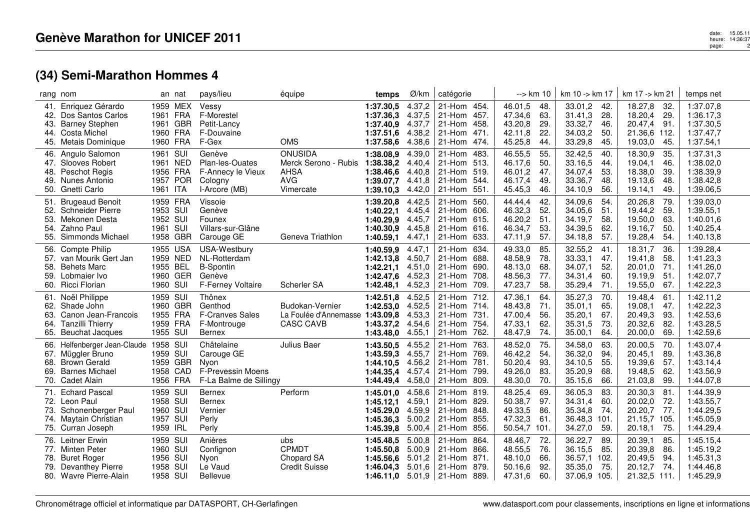|                          | rang nom                                                                                                      |                                                          | an nat | pays/lieu                                                                              | équipe                                                                           | temps                                                         | Ø/km                                           | catégorie                                                                                        | --> km 10                                                                               | km 10 -> km 17                                                                          | km 17 -> km 21                                                                         | temps net                                                     |
|--------------------------|---------------------------------------------------------------------------------------------------------------|----------------------------------------------------------|--------|----------------------------------------------------------------------------------------|----------------------------------------------------------------------------------|---------------------------------------------------------------|------------------------------------------------|--------------------------------------------------------------------------------------------------|-----------------------------------------------------------------------------------------|-----------------------------------------------------------------------------------------|----------------------------------------------------------------------------------------|---------------------------------------------------------------|
| 42.<br>43.<br>44.        | 41. Enriquez Gérardo<br>Dos Santos Carlos<br><b>Barney Stephen</b><br>Costa Michel<br>45. Metais Dominique    | 1959 MEX<br>1961 FRA<br>1961 GBR<br>1960 FRA<br>1960 FRA |        | Vessy<br>F-Morestel<br>Petit-Lancy<br>F-Douvaine<br>F-Gex                              | <b>OMS</b>                                                                       | 1:37.30,5<br>1:37.36.3<br>1:37.40.9<br>1:37.51,6<br>1:37.58,6 | 4.37,2<br>4.37,5<br>4.37,7<br>4.38,2<br>4.38,6 | 21-Hom 454.<br>21-Hom<br>457.<br>21-Hom<br>458.<br>21-Hom<br>-471.<br>21-Hom<br>474.             | 46.01,5<br>48.<br>47.34,6<br>63.<br>43.20,8<br>29.<br>22.<br>42.11,8<br>45.25,8<br>44.  | 33.01,2<br>-42.<br>31.41,3<br>28.<br>33.32,7<br>46.<br>34.03,2<br>50.<br>33.29,8<br>45. | 18.27,8<br>32.<br>18.20,4<br>-29.<br>20.47,4<br>-91.<br>21.36,6 112.<br>19.03,0<br>45. | 1:37.07,8<br>1:36.17,3<br>1:37.30,5<br>1:37.47,7<br>1:37.54,1 |
| 46.<br>48.<br>49.        | Angulo Salomon<br>47. Slooves Robert<br>Peschot Regis<br>Nunes Antonio<br>50. Gnetti Carlo                    | 1961 SUI<br>1961 NED<br>1956 FRA<br>1957 POR<br>1961 ITA |        | Genève<br>Plan-les-Ouates<br>F-Annecy le Vieux<br>Cologny<br>I-Arcore (MB)             | <b>ONUSIDA</b><br>Merck Serono - Rubis<br><b>AHSA</b><br><b>AVG</b><br>Vimercate | 1:38.08,9<br>1:38.38,2<br>1:38.46.6<br>1:39.07,7<br>1:39.10,3 | 4.39,0<br>4.40,4<br>4.40,8<br>4.41,8<br>4.42,0 | 21-Hom<br>483.<br>513.<br>21-Hom<br>519.<br>21-Hom<br>21-Hom<br>544.<br>21-Hom<br>551            | 46.55,5<br>55.<br>46.17,6<br>50.<br>47.<br>46.01,2<br>46.17,4<br>49.<br>45.45,3<br>46.  | 32.42,5<br>40.<br>33.16,5<br>44.<br>53.<br>34.07,4<br>33.36,7<br>48.<br>34.10,9<br>56.  | 18.30,9<br>35.<br>19.04,1<br>46.<br>39.<br>18.38,0<br>19.13,6<br>48.<br>19.14,1<br>49. | 1:37.31,3<br>1:38.02,0<br>1:38.39,9<br>1:38.42,8<br>1:39.06,5 |
| 54.<br>55.               | 51. Brugeaud Benoit<br>52. Schneider Pierre<br>53. Mekonen Desta<br>Zahno Paul<br>Simmonds Michael            | 1959 FRA<br>1953 SUI<br>1952 SUI<br>1961 SUI<br>1958 GBR |        | Vissoie<br>Genève<br>Founex<br>Villars-sur-Glâne<br>Carouge GE                         | Geneva Triathlon                                                                 | 1:39.20,8<br>1:40.22,1<br>1:40.29.9<br>1:40.30,9<br>1:40.59,1 | 4.42,5<br>4.45,4<br>4.45,7<br>4.45,8<br>4.47,1 | 21-Hom<br>560.<br>606.<br>21-Hom<br>615.<br>21-Hom<br>21-Hom<br>616.<br>21-Hom<br>633.           | 44.44,4<br>42.<br>46.32,3<br>52.<br>46.20,2<br>51.<br>46.34,7<br>53.<br>47.11,9<br>57.  | 34.09,6<br>54.<br>34.05,6<br>51<br>34.19,7<br>58.<br>34.39,5<br>62.<br>34.18,8<br>57.   | 20.26,8<br>79.<br>19.44,2<br>59.<br>19.50,0<br>63.<br>50.<br>19.16,7<br>19.28,4<br>54. | 1:39.03,0<br>1:39.55,1<br>1:40.01,6<br>1:40.25,4<br>1:40.13,8 |
| 56.<br>57.<br>58.<br>59. | <b>Compte Philip</b><br>van Mourik Gert Jan<br><b>Behets Marc</b><br>Lobmaier Ivo<br>60. Ricci Florian        | 1955 USA<br>1959 NED<br>1955 BEL<br>1960 GER<br>1960 SUI |        | USA-Westbury<br>NL-Rotterdam<br><b>B-Spontin</b><br>Genève<br><b>F-Ferney Voltaire</b> | Scherler SA                                                                      | 1:40.59,9<br>1:42.13,8<br>1:42.21,1<br>1:42.47,6<br>1:42.48,1 | 4.47.1<br>4.50,7<br>4.51,0<br>4.52,3<br>4.52,3 | 21-Hom<br>634.<br>21-Hom<br>688.<br>690.<br>21-Hom<br>21-Hom<br>708.<br>21-Hom<br>709.           | 49.33,0<br>85.<br>78.<br>48.58,9<br>48.13,0<br>68.<br>48.56,3<br>77.<br>47.23,7<br>58.  | 32.55,2<br>41.<br>33.33,1<br>47.<br>34.07,1<br>52.<br>34.31,4<br>60.<br>35.29,4<br>71.  | 18.31,7<br>36.<br>19.41,8<br>58.<br>20.01,0<br>71.<br>19.19,9<br>51<br>19.55,0<br>67.  | 1:39.28,4<br>1:41.23,3<br>1:41.26,0<br>1:42.07,7<br>1:42.22,3 |
| 61.<br>63.<br>64.<br>65. | Noël Philippe<br>62. Shade John<br>Canon Jean-Francois<br><b>Tanzilli Thierry</b><br><b>Beuchat Jacques</b>   | 1959 SUI<br>1960 GBR<br>1955 FRA<br>1959 FRA<br>1955 SUI |        | Thônex<br>Genthod<br><b>F-Cranves Sales</b><br>F-Montrouge<br><b>Bernex</b>            | Budokan-Vernier<br>La Foulée d'Annemasse<br><b>CASC CAVB</b>                     | 1:42.51,8<br>1:42.53.0<br>1:43.09,8<br>1:43.37,2<br>1:43.48,0 | 4.52,5<br>4.52,5<br>4.53,3<br>4.54,6<br>4.55,1 | 21-Hom<br>712.<br>21-Hom<br>714.<br>731.<br>21-Hom<br>754.<br>21-Hom<br>21-Hom<br>762.           | 47.36,1<br>64.<br>71.<br>48.43,8<br>47.00,4<br>56.<br>47.33,1<br>62.<br>48.47,9<br>74.  | 35.27,3<br>70.<br>35.01,1<br>65.<br>67.<br>35.20,1<br>35.31,5<br>73.<br>35.00,1<br>64.  | 19.48,4<br>61.<br>19.08,1<br>47.<br>20.49,3<br>93.<br>20.32,6<br>82.<br>20.00,0<br>69. | 1:42.11,2<br>1:42.22,3<br>1:42.53,6<br>1:43.28,5<br>1:42.59,6 |
| 66.<br>67.<br>68.<br>69. | Helfenberger Jean-Claude<br>Müggler Bruno<br><b>Brown Gerald</b><br><b>Barnes Michael</b><br>70. Cadet Alain  | 1958 SUI<br>1959 SUI<br>1959 GBR<br>1958 CAD<br>1956 FRA |        | Châtelaine<br>Carouge GE<br>Nvon<br>F-Prevessin Moens<br>F-La Balme de Sillingy        | Julius Baer                                                                      | 1:43.50,5<br>1:43.59.3<br>1:44.10,5<br>1:44.35.4<br>1:44.49.4 | 4.55,2<br>4.55,7<br>4.56,2<br>4.57,4<br>4.58,0 | 21-Hom<br>763.<br>21-Hom<br>769.<br>781.<br>21-Hom<br>21-Hom<br>799.<br>21-Hom<br>809.           | 48.52,0<br>75.<br>54.<br>46.42,2<br>50.20,4<br>93.<br>49.26,0<br>83.<br>70.<br>48.30,0  | 34.58,0<br>63.<br>36.32,0<br>94.<br>55.<br>34.10,5<br>35.20,9<br>68.<br>66.<br>35.15,6  | 20.00,5<br>70.<br>20.45,1<br>89.<br>19.39,6<br>57.<br>19.48,5<br>62.<br>99.<br>21.03,8 | 1:43.07,4<br>1:43.36,8<br>1:43.14.4<br>1:43.56,9<br>1:44.07,8 |
| 73.                      | 71. Echard Pascal<br>72. Leon Paul<br>Schonenberger Paul<br>74. Maytain Christian<br>75. Curran Joseph        | 1959 SUI<br>1958 SUI<br>1960 SUI<br>1957 SUI<br>1959 IRL |        | Bernex<br>Bernex<br>Vernier<br>Perly<br>Perly                                          | Perform                                                                          | 1:45.01,0<br>1:45.12.1<br>1:45.29.0<br>1:45.36,3<br>1:45.39,8 | 4.58,6<br>4.59.1<br>4.59,9<br>5.00,2<br>5.00,4 | 21-Hom<br>819.<br>829.<br>21-Hom<br>21-Hom<br>848.<br>21-Hom<br>855.<br>856.<br>21-Hom           | 48.25,4<br>69.<br>97.<br>50.38,7<br>49.33,5<br>86.<br>47.32,3<br>61.<br>50.54,7<br>101. | 36.05,3<br>83.<br>34.31,4<br>60.<br>35.34,8<br>74.<br>36.48,3 101.<br>34.27,0<br>59.    | 20.30,3<br>81<br>72.<br>20.02,0<br>20.20,7<br>77.<br>21.15,7<br>105.<br>75.<br>20.18,1 | 1:44.39,9<br>1:43.55,7<br>1:44.29,5<br>1:45.05,9<br>1:44.29,4 |
| 78.                      | 76. Leitner Erwin<br>77. Minten Peter<br><b>Buret Roger</b><br>79. Devanthey Pierre<br>80. Wavre Pierre-Alain | 1959 SUI<br>1960 SUI<br>1956 SUI<br>1958 SUI<br>1958 SUI |        | Anières<br>Confignon<br>Nyon<br>Le Vaud<br>Bellevue                                    | ubs<br><b>CPMDT</b><br>Chopard SA<br><b>Credit Suisse</b>                        | 1:45.48,5<br>1:45.50.8<br>1:45.56.6<br>1:46.04.3<br>1:46.11.0 | 5.00,8<br>5.00,9<br>5.01.2<br>5.01,6           | 21-Hom<br>864.<br>866.<br>21-Hom<br>21-Hom<br>871.<br>21-Hom<br>879<br>$5.01,9$   21-Hom<br>889. | 48.46,7<br>72.<br>76.<br>48.55,5<br>48.10,0<br>66.<br>50.16,6<br>92.<br>47.31,6<br>60.  | 36.22,7<br>89.<br>36.15,5<br>85.<br>36.57,1<br>102.<br>35.35,0<br>75.<br>37.06,9 105.   | 20.39,1<br>85.<br>20.39,8<br>86.<br>20.49,5<br>94.<br>20.12,7<br>74.<br>21.32,5 111.   | 1:45.15,4<br>1:45.19,2<br>1:45.31,3<br>1:44.46.8<br>1:45.29,9 |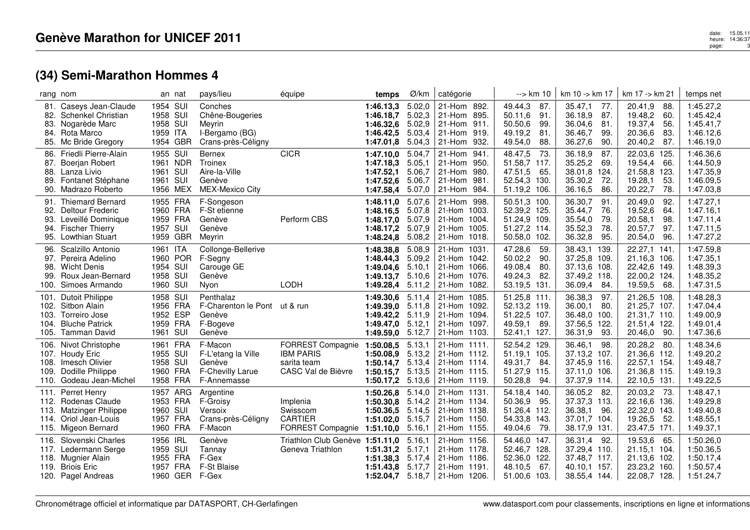|                                 | rang nom                                                                                                                |                                                          | an nat               | pays/lieu                                                                    | équipe                                                                     | temps                                                                         | Ø/km                                           | catégorie                                                                              | --> km 10                                                                              | km 10 -> km 17                                                                         | km 17 -> km 21                                                                         | temps net                                                     |
|---------------------------------|-------------------------------------------------------------------------------------------------------------------------|----------------------------------------------------------|----------------------|------------------------------------------------------------------------------|----------------------------------------------------------------------------|-------------------------------------------------------------------------------|------------------------------------------------|----------------------------------------------------------------------------------------|----------------------------------------------------------------------------------------|----------------------------------------------------------------------------------------|----------------------------------------------------------------------------------------|---------------------------------------------------------------|
| 82.<br>83.<br>84.               | 81. Caseys Jean-Claude<br>Schenkel Christian<br>Nogarède Marc<br>Rota Marco<br>85. Mc Bride Gregory                     | 1954 SUI<br>1958 SUI<br>1958 SUI<br>1959 ITA<br>1954 GBR |                      | Conches<br>Chêne-Bougeries<br>Meyrin<br>I-Bergamo (BG)<br>Crans-près-Céligny |                                                                            | 1:46.13,3<br>1:46.18.7<br>1:46.32,6<br>1:46.42,5<br>1:47.01,8                 | 5.02,0<br>5.02,3<br>5.02.9<br>5.03,4<br>5.04,3 | 21-Hom 892.<br>21-Hom 895.<br>21-Hom 911.<br>21-Hom 919.<br>21-Hom<br>932.             | 49.44,3<br>87.<br>91.<br>50.11,6<br>50.50,6<br>99.<br>49.19,2<br>81.<br>49.54,0<br>88. | 35.47,1<br>77.<br>36.18,9<br>87.<br>81<br>36.04,6<br>36.46,7<br>99.<br>36.27,6<br>90.  | 20.41,9<br>88.<br>19.48,2<br>60.<br>19.37,4<br>56.<br>20.36,6<br>83.<br>20.40,2<br>87. | 1:45.27,2<br>1:45.42,4<br>1:45.41,7<br>1:46.12,6<br>1:46.19,0 |
| 86.<br>87.<br>88.<br>89.<br>90. | Friedli Pierre-Alain<br>Boerjan Robert<br>Lanza Livio<br>Fontanet Stéphane<br>Madrazo Roberto                           | 1955 SUI<br>1961 SUI<br>1961 SUI                         | 1961 NDR<br>1956 MEX | Bernex<br>Troinex<br>Aire-la-Ville<br>Genève<br><b>MEX-Mexico City</b>       | <b>CICR</b>                                                                | 1:47.10,0<br>1:47.18,3<br>1:47.52.1<br>1:47.52.6<br>1:47.58,4                 | 5.04,7<br>5.05,1<br>5.06,7<br>5.06,7<br>5.07,0 | 21-Hom<br>941.<br>950.<br>21-Hom<br>980.<br>21-Hom<br>981.<br>21-Hom<br>21-Hom<br>984. | 48.47,5<br>73.<br>51.58,7<br>117.<br>47.51,5<br>65.<br>52.54,3<br>130.<br>51.19,2 106. | 36.18,9<br>87.<br>35.25,2<br>69.<br>38.01,8 124.<br>35.30,2<br>72.<br>36.16,5<br>86.   | 22.03,6 125.<br>19.54,4<br>66.<br>21.58,8 123.<br>19.28,1<br>53.<br>20.22,7<br>78.     | 1:46.36,6<br>1:44.50,9<br>1:47.35,9<br>1:46.09,5<br>1:47.03,8 |
| 91.                             | <b>Thiemard Bernard</b><br>92. Deltour Frederic<br>93. Leveillé Dominique<br>94. Fischer Thierry<br>95. Lowthian Stuart | 1955 FRA<br>1960 FRA<br>1959 FRA<br>1957 SUI<br>1959 GBR |                      | F-Songeson<br>F-St etienne<br>Genève<br>Genève<br>Mevrin                     | Perform CBS                                                                | 1:48.11,0<br>1:48.16,5<br>1:48.17,0<br>1:48.17.2<br>1:48.24,8                 | 5.07,6<br>5.07,8<br>5.07,9<br>5.07,9<br>5.08,2 | 21-Hom 998.<br>21-Hom 1003.<br>21-Hom 1004.<br>21-Hom 1005.<br>21-Hom 1018.            | 50.51,3 100.<br>52.39,2 125.<br>51.24,9 109.<br>51.27,2 114.<br>50.58,0<br>102.        | 36.30,7<br>91.<br>35.44,7<br>76.<br>35.54,0<br>79.<br>35.52,3<br>78.<br>36.32,8<br>95. | 20.49,0<br>92.<br>19.52,6<br>64.<br>20.58,1<br>98.<br>20.57,7<br>97.<br>20.54,0<br>96. | 1:47.27,1<br>1:47.16,1<br>1:47.11,4<br>1:47.11,5<br>1:47.27,2 |
| 96.<br>98.<br>99.               | Scalzillo Antonio<br>97. Pereira Adelino<br><b>Wicht Denis</b><br>Roux Jean-Bernard<br>100. Simoes Armando              | 1961 ITA<br>1954 SUI<br>1958 SUI<br>1960 SUI             | 1960 POR             | Collonge-Bellerive<br>F-Segny<br>Carouge GE<br>Genève<br>Nyon                | LODH                                                                       | 1:48.38,8<br>1:48.44,3<br>1:49.04.6<br>1:49.13,7<br>1:49.28,4                 | 5.08,9<br>5.09,2<br>5.10,1<br>5.10.6<br>5.11,2 | 21-Hom 1031.<br>21-Hom 1042.<br>21-Hom 1066.<br>21-Hom 1076.<br>21-Hom 1082.           | 47.28,6<br>59.<br>90.<br>50.02,2<br>49.08,4<br>80.<br>49.24,3<br>82.<br>53.19,5 131.   | 38.43,1 139.<br>37.25,8 109.<br>37.13,6 108.<br>37.49,2 118.<br>36.09,4<br>84.         | 22.27,1 141<br>21.16,3 106.<br>22.42,6 149.<br>22.00,2 124.<br>19.59,5<br>68.          | 1:47.59,8<br>1:47.35.1<br>1:48.39,3<br>1:48.35,2<br>1:47.31,5 |
| 101.<br>103.<br>104.            | <b>Dutoit Philippe</b><br>102. Sitbon Alain<br>Torreiro Jose<br><b>Bluche Patrick</b><br>105. Tamman David              | 1958 SUI<br>1956 FRA<br>1952 ESP<br>1959 FRA<br>1961 SUI |                      | Penthalaz<br>F-Charenton le Pont ut & run<br>Genève<br>F-Bogeve<br>Genève    |                                                                            | 1:49.30,6<br>$1:49.39,0$ 5.11,8<br>1:49.42,2<br>1:49.47,0<br>1:49.59,0 5.12,7 | 5.11,4<br>5.11,9<br>5.12,1                     | 21-Hom 1085.<br>21-Hom 1092.<br>21-Hom 1094.<br>21-Hom 1097.<br>21-Hom 1103.           | 51.25,8 111.<br>52.13,2 119.<br>51.22,5 107.<br>49.59,1<br>89.<br>52.41,1 127.         | 36.38,3<br>97.<br>36.00,1<br>80.<br>36.48,0 100.<br>37.56,5 122.<br>36.31,9<br>93.     | 21.26,5 108.<br>21.25,7 107.<br>21.31,7 110.<br>21.51,4 122.<br>90.<br>20.46,0         | 1:48.28,3<br>1:47.04,4<br>1:49.00,9<br>1:49.01,4<br>1:47.36,6 |
| 106.<br>108.<br>109.<br>110.    | Nivot Christophe<br>107. Houdy Eric<br>Imesch Olivier<br>Dodille Philippe<br>Godeau Jean-Michel                         | 1961 FRA<br>1955 SUI<br>1958 SUI<br>1960 FRA<br>1958 FRA |                      | F-Macon<br>F-L'etang la Ville<br>Genève<br>F-Chevilly Larue<br>F-Annemasse   | FORREST Compagnie<br><b>IBM PARIS</b><br>sarita team<br>CASC Val de Bièvre | 1:50.08,5<br>1:50.08,9<br>1:50.14,7<br>1:50.15,7<br>1:50.17,2                 | 5.13,1<br>5.13,2<br>5.13,4<br>5.13,5<br>5.13,6 | 21-Hom 1111.<br>21-Hom 1112.<br>21-Hom 1114.<br>21-Hom 1115.<br>21-Hom 1119.           | 52.54,2 129.<br>51.19,1<br>105.<br>49.31,7<br>84.<br>51.27,9<br>115.<br>50.28,8<br>94. | 36.46,1<br>98.<br>37.13,2 107.<br>37.45,9 116.<br>37.11,0 106.<br>37.37,9 114.         | 20.28,2<br>-80.<br>21.36,6 112.<br>22.57,1 154.<br>21.36,8 115.<br>22.10,5 131.        | 1:48.34,6<br>1:49.20,2<br>1:49.48,7<br>1:49.19,3<br>1:49.22,5 |
| 111.                            | Perret Henry<br>112. Rodenas Claude<br>113. Matzinger Philippe<br>114. Oriol Jean-Louis<br>115. Migeon Bernard          | 1953 FRA<br>1960 SUI<br>1957 FRA<br>1960 FRA             | 1957 ARG             | Argentine<br>F-Groisy<br>Versoix<br>Crans-près-Céligny<br>F-Macon            | Implenia<br>Swisscom<br><b>CARTIER</b><br>FORREST Compagnie                | 1:50.26,8<br>1:50.30.8<br>1:50.36,5<br>1:51.02,0<br>1:51.10,0                 | 5.14,0<br>5.14,2<br>5.14,5<br>5.15,7<br>5.16,1 | 21-Hom 1131.<br>21-Hom 1134.<br>21-Hom 1138.<br>21-Hom 1150.<br>21-Hom 1155.           | 54.18,4<br>140.<br>50.36,9<br>95.<br>51.26,4 112.<br>54.33,8<br>143.<br>49.04,6<br>79. | 36.05,2<br>82.<br>37.37,3 113.<br>36.38,1<br>96.<br>37.01,7 104.<br>38.17,9 131.       | 20.03,2<br>-73.<br>22.16,6 136.<br>22.32,0 143.<br>19.26,5<br>52.<br>23.47,5 171.      | 1:48.47,1<br>1:49.29,8<br>1:49.40,8<br>1:48.55,1<br>1:49.37,1 |
|                                 | 116. Slovenski Charles<br>117. Ledermann Serge<br>118. Mugnier Alain<br>119. Briois Eric<br>120. Pagel Andreas          | 1956 IRL<br>1959 SUI<br>1955 FRA<br>1957 FRA             | 1960 GER             | Genève<br>Tannav<br>F-Gex<br>F-St Blaise<br>F-Gex                            | Triathlon Club Genève 1:51.11,0<br>Geneva Triathlon                        | 1:51.31.2<br>1:51.38.3<br>1:51.43,8 5.17,7<br>1:52.04.7 5.18.7                | 5.16,1<br>5.17,1<br>5.17,4                     | 21-Hom 1156.<br>21-Hom 1178.<br>21-Hom 1186.<br>21-Hom 1191.<br>21-Hom 1206.           | 54.46,0<br>147.<br>52.46,7 128.<br>52.36,0 122.<br>48.10,5<br>67.<br>51.00,6 103.      | 36.31,4 92.<br>37.29,4 110.<br>37.48,7 117.<br>40.10.1 157.<br>38.55,4 144.            | 19.53,6<br>65.<br>21.15,1 104.<br>21.13,6 102.<br>23.23,2 160.<br>22.08,7 128.         | 1:50.26,0<br>1:50.36,5<br>1:50.17,4<br>1:50.57,4<br>1:51.24,7 |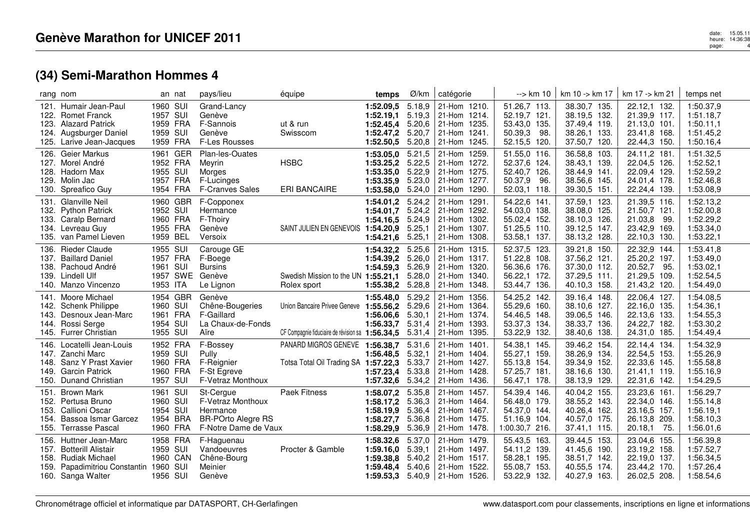|                              | rang nom                                                                                                                          |                                                          | an nat   | pays/lieu                                                                                       | équipe                                                                           | temps                                                                  | Ø/km                                           | catégorie                                                                                         | --> km 10                                                                         | km 10 -> km 17                                                               | km 17 -> km 21                                                                  | temps net                                                     |
|------------------------------|-----------------------------------------------------------------------------------------------------------------------------------|----------------------------------------------------------|----------|-------------------------------------------------------------------------------------------------|----------------------------------------------------------------------------------|------------------------------------------------------------------------|------------------------------------------------|---------------------------------------------------------------------------------------------------|-----------------------------------------------------------------------------------|------------------------------------------------------------------------------|---------------------------------------------------------------------------------|---------------------------------------------------------------|
| 122.<br>124.<br>125.         | 121. Humair Jean-Paul<br><b>Romet Franck</b><br>123. Alazard Patrick<br>Augsburger Daniel<br>Larive Jean-Jacques                  | 1960 SUI<br>1957 SUI<br>1959 FRA<br>1959 SUI<br>1959 FRA |          | Grand-Lancy<br>Genève<br>F-Sannois<br>Genève<br><b>F-Les Rousses</b>                            | ut & run<br>Swisscom                                                             | 1:52.09.5<br>$1:52.19,1$ 5.19,3<br>1:52.45.4<br>1:52.47,2<br>1:52.50,5 | 5.18,9<br>5.20,6<br>5.20,7<br>5.20,8           | 21-Hom 1210.<br>21-Hom 1214.<br>21-Hom 1235.<br>21-Hom 1241.<br>21-Hom 1245.                      | 51.26,7 113.<br>52.19,7 121.<br>53.43,0 135.<br>50.39,3<br>98.<br>52.15,5<br>120. | 38.30,7 135.<br>38.19,5 132.<br>37.49,4 119.<br>38.26,1 133.<br>37.50,7 120. | 22.12,1 132.<br>21.39,9 117.<br>21.13,0 101.<br>23.41,8 168.<br>22.44,3 150.    | 1:50.37,9<br>1:51.18,7<br>1:50.11,1<br>1:51.45,2<br>1:50.16,4 |
| 127.<br>128.<br>129.<br>130. | 126. Geier Markus<br>Morel André<br>Hadorn Max<br>Molin Jac<br>Spreafico Guy                                                      | 1961 GER<br>1952 FRA<br>1955 SUI<br>1957 FRA<br>1954 FRA |          | Plan-les-Ouates<br>Meyrin<br>Morges<br>F-Lucinges<br><b>F-Cranves Sales</b>                     | <b>HSBC</b><br><b>ERI BANCAIRE</b>                                               | 1:53.05,0<br>1:53.25,2<br>1:53.35.0<br>1:53.35,9<br>1:53.58,0          | 5.21,5<br>5.22,5<br>5.22,9<br>5.23,0<br>5.24,0 | 21-Hom 1259.<br>21-Hom 1272.<br>21-Hom 1275.<br>21-Hom 1277.<br>21-Hom 1290.                      | 51.55,0 116.<br>52.37,6 124.<br>52.40,7 126.<br>50.37,9<br>96.<br>52.03,1 118.    | 36.58,8 103.<br>38.43,1 139.<br>38.44,9 141.<br>38.56,6 145.<br>39.30,5 151. | 24.11,2 181.<br>22.04,5 126.<br>22.09.4 129.<br>24.01,4 178.<br>22.24,4 139.    | 1:51.32,5<br>1:52.52,1<br>1:52.59,2<br>1:52.46,8<br>1:53.08,9 |
| 131.                         | Glanville Neil<br>132. Python Patrick<br>133. Caralp Bernard<br>134. Levreau Guy<br>135. van Pamel Lieven                         | 1952 SUI<br>1960 FRA<br>1955 FRA<br>1959 BEL             | 1960 GBR | F-Copponex<br>Hermance<br>F-Thoiry<br>Genève<br>Versoix                                         | SAINT JULIEN EN GENEVOIS                                                         | 1:54.01,2<br>1:54.01,7<br>1:54.16.5<br>1:54.20,9<br>1:54.21,6          | 5.24,2<br>5.24,2<br>5.24,9<br>5.25.1<br>5.25,1 | 21-Hom 1291.<br>21-Hom 1292.<br>21-Hom 1302.<br>21-Hom 1307.<br>21-Hom 1308.                      | 54.22,6 141.<br>54.03,0 138.<br>55.02,4 152.<br>51.25,5 110.<br>53.58,1 137.      | 37.59,1 123.<br>38.08,0 125.<br>38.10,3 126.<br>39.12,5 147.<br>38.13,2 128. | 21.39,5 116.<br>21.50,7 121.<br>21.03,8<br>-99.<br>23.42,9 169.<br>22.10,3 130. | 1:52.13,2<br>1:52.00.8<br>1:52.29,2<br>1:53.34,0<br>1:53.22,1 |
| 136.<br>139.                 | <b>Rieder Claude</b><br>137. Baillard Daniel<br>138. Pachoud André<br>Lindell Ulf<br>140. Manzo Vincenzo                          | 1955 SUI<br>1957 FRA<br>1961 SUI<br>1953 ITA             |          | Carouge GE<br>F-Boege<br><b>Bursins</b><br>1957 SWE Genève<br>Le Lignon                         | Swedish Mission to the UN 1:55.21,1<br>Rolex sport                               | 1:54.32,2<br>1:54.39,2<br>1:54.59,3<br>1:55.38,2 5.28,8                | 5.25,6<br>5.26,0<br>5.26,9<br>5.28,0           | 21-Hom 1315.<br>21-Hom 1317.<br>21-Hom 1320.<br>21-Hom 1340.<br>21-Hom 1348.                      | 52.37,5 123.<br>51.22,8 108.<br>56.36,6 176.<br>56.22,1 172.<br>53.44,7 136.      | 39.21,8 150.<br>37.56,2 121.<br>37.30,0 112.<br>37.29,5 111.<br>40.10,3 158. | 22.32,9 144.<br>25.20,2 197.<br>20.52,7<br>95.<br>21.29,5 109.<br>21.43,2 120.  | 1:53.41,8<br>1:53.49,0<br>1:53.02,1<br>1:52.54,5<br>1:54.49,0 |
| 141.<br>143.<br>144.         | Moore Michael<br>142. Schenk Philippe<br>Desnoux Jean-Marc<br>Rossi Serge<br>145. Furrer Christian                                | 1954 GBR<br>1960 SUI<br>1961 FRA<br>1954 SUI<br>1955 SUI |          | Genève<br>Chêne-Bougeries<br>F-Gaillard<br>La Chaux-de-Fonds<br>Aïre                            | Union Bancaire Privee Geneve<br>CF Compagnie fiduciaire de révision sa 1:56.34,5 | 1:55.48,0<br>1:55.56,2 5.29,6<br>1:56.06,6<br>1:56.33,7                | 5.29,2<br>5.30,1<br>5.31,4<br>5.31,4           | 21-Hom 1356.<br>21-Hom 1364.<br>21-Hom 1374.<br>21-Hom 1393.<br>21-Hom 1395.                      | 54.25,2 142.<br>55.29,6 160.<br>54.46,5 148.<br>53.37,3 134.<br>53.22,9 132.      | 39.16,4 148.<br>38.10,6 127.<br>39.06,5 146.<br>38.33,7 136.<br>38.40,6 138. | 22.06,4 127.<br>22.16,0 135.<br>22.13,6 133.<br>24.22,7 182.<br>24.31,0 185.    | 1:54.08,5<br>1:54.36,1<br>1:54.55,3<br>1:53.30,2<br>1:54.49,4 |
| 146.<br>148.<br>149.<br>150. | Locatelli Jean-Louis<br>147. Zanchi Marc<br>Sanz Y Prast Xavier<br><b>Garcin Patrick</b><br><b>Dunand Christian</b>               | 1952 FRA<br>1959 SUI<br>1960 FRA<br>1960 FRA<br>1957 SUI |          | F-Bossey<br>Pully<br>F-Reignier<br>F-St Egreve<br>F-Vetraz Monthoux                             | PANARD MIGROS GENEVE<br>Totsa Total Oil Trading SA                               | 1:56.38.7<br>1:56.48.5<br>1:57.22,3<br>1:57.23,4<br>1:57.32,6          | 5.31,6<br>5.32,1<br>5.33,7<br>5.33,8<br>5.34,2 | 21-Hom 1401.<br>21-Hom 1404.<br>21-Hom 1427.<br>21-Hom 1428.<br>21-Hom 1436.                      | 54.38,1 145.<br>55.27,1 159.<br>55.13,8 154.<br>57.25,7 181.<br>56.47,1 178.      | 39.46,2 154.<br>38.26,9 134.<br>39.34,9 152.<br>38.16,6 130.<br>38.13,9 129. | 22.14,4 134.<br>22.54,5 153.<br>22.33,6 145.<br>21.41,1 119.<br>22.31,6 142.    | 1:54.32,9<br>1:55.26,9<br>1:55.58,8<br>1:55.16,9<br>1:54.29,5 |
| 151.<br>153.<br>154.<br>155. | <b>Brown Mark</b><br>152. Pertusa Bruno<br>Callioni Oscar<br>Bassoa Ismar Garcez<br><b>Terrasse Pascal</b>                        | 1961 SUI<br>1960 SUI<br>1954 SUI<br>1954 BRA<br>1960 FRA |          | St-Cergue<br>F-Vetraz Monthoux<br>Hermance<br><b>BR-POrto Alegre RS</b><br>F-Notre Dame de Vaux | Paek Fitness                                                                     | 1:58.07,2<br>1:58.17.2<br>1:58.19,9<br>1:58.27,7<br>1:58.29,9          | 5.35,8<br>5.36.3<br>5.36,4<br>5.36,8<br>5.36,9 | 21-Hom 1457.<br>21-Hom 1464.<br>21-Hom 1467.<br>21-Hom 1475.<br>21-Hom 1478.                      | 54.39,4 146.<br>56.48,0 179.<br>54.37,0 144.<br>51.16,9<br>104.<br>1:00.30,7 216. | 40.04,2 155.<br>38.55,2 143.<br>40.26,4 162.<br>40.57,0 175.<br>37.41,1 115. | 23.23,6 161.<br>22.34,0 146.<br>23.16,5 157.<br>26.13,8 209.<br>20.18,1<br>75.  | 1:56.29,7<br>1:55.14,8<br>1:56.19,1<br>1:58.10,3<br>1:56.01,6 |
| 156.<br>157.<br>158.<br>159. | Huttner Jean-Marc<br><b>Botterill Alistair</b><br><b>Rudiak Michael</b><br>Papadimitriou Constantin 1960 SUI<br>160. Sanga Walter | 1958 FRA<br>1959 SUI<br>1960 CAN<br>1956 SUI             |          | F-Haguenau<br>Vandoeuvres<br>Chêne-Bourg<br>Meinier<br>Genève                                   | Procter & Gamble                                                                 | 1:58.32,6<br>1:59.16.0<br>1:59.38.8<br>1:59.48.4                       | 5.37,0<br>5.39,1<br>5.40,2<br>5.40,6           | 21-Hom 1479.<br>21-Hom 1497.<br>21-Hom 1517.<br>l 21-Hom 1522.<br>1:59.53,3 $5.40,9$ 21-Hom 1526. | 55.43,5 163.<br>54.11,2 139.<br>58.28,1 195.<br>55.08.7 153.<br>53.22,9 132.      | 39.44,5 153.<br>41.45,6 190.<br>38.51,7 142.<br>40.55,5 174.<br>40.27,9 163. | 23.04,6 155.<br>23.19,2 158.<br>22.19,0 137.<br>23.44,2 170.<br>26.02,5 208.    | 1:56.39,8<br>1:57.52.7<br>1:56.34,5<br>1:57.26,4<br>1:58.54,6 |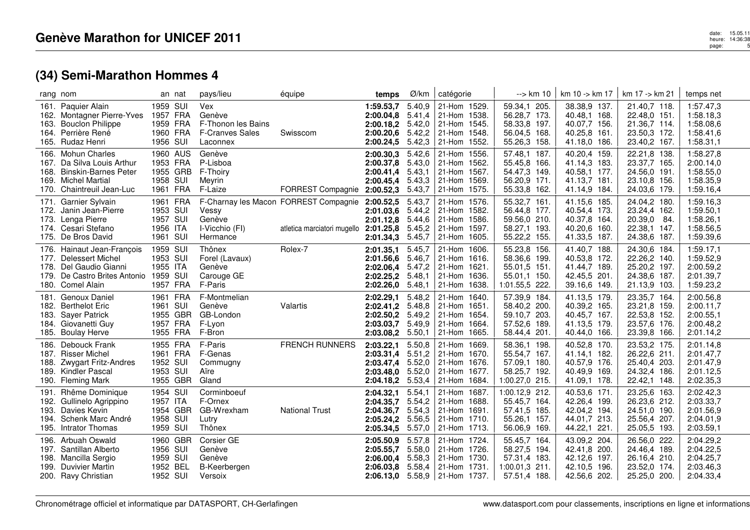|                      | rang nom                                                                                                                               | an nat                                                   | pays/lieu                                                                        | équipe                                                               | temps                                                                | Ø/km                                           | catégorie                                                                                              | --> km 10                                                                      | km 10 -> km 17                                                               | km 17 -> km 21                                                               | temps net                                                     |
|----------------------|----------------------------------------------------------------------------------------------------------------------------------------|----------------------------------------------------------|----------------------------------------------------------------------------------|----------------------------------------------------------------------|----------------------------------------------------------------------|------------------------------------------------|--------------------------------------------------------------------------------------------------------|--------------------------------------------------------------------------------|------------------------------------------------------------------------------|------------------------------------------------------------------------------|---------------------------------------------------------------|
| 163.                 | 161. Paquier Alain<br>162. Montagner Pierre-Yves<br><b>Bouclon Philippe</b><br>164. Perrière René<br>165. Rudaz Henri                  | 1959 SUI<br>1957 FRA<br>1959 FRA<br>1960 FRA<br>1956 SUI | <b>Vex</b><br>Genève<br>F-Thonon les Bains<br><b>F-Cranves Sales</b><br>Laconnex | Swisscom                                                             | 1:59.53,7<br>2:00.04.8<br>2:00.18,2 5.42,0<br>2:00.20,6<br>2:00.24,5 | 5.40,9<br>5.41,4<br>5.42,2<br>5.42,3           | 21-Hom 1529.<br>21-Hom 1538.<br>21-Hom 1545.<br>21-Hom 1548.<br>21-Hom 1552.                           | 59.34,1 205.<br>56.28,7 173.<br>58.33,8 197.<br>56.04,5 168.<br>55.26,3 158.   | 38.38,9 137.<br>40.48,1 168.<br>40.07,7 156.<br>40.25,8 161.<br>41.18,0 186. | 21.40,7 118.<br>22.48,0 151.<br>21.36,7 114.<br>23.50,3 172.<br>23.40,2 167. | 1:57.47,3<br>1:58.18,3<br>1:58.08,6<br>1:58.41,6<br>1:58.31,1 |
|                      | 166. Mohun Charles<br>167. Da Silva Louis Arthur<br>168. Binskin-Barnes Peter<br>169. Michel Martial<br>170. Chaintreuil Jean-Luc      | 1960 AUS<br>1953 FRA<br>1955 GRB<br>1958 SUI<br>1961 FRA | Genève<br>P-Lisboa<br>F-Thoiry<br>Meyrin<br>F-Laize                              | FORREST Compagnie                                                    | 2:00.30,3<br>2:00.37,8<br>2:00.41.4<br>2:00.45.4<br>2:00.52,3        | 5.42,6<br>5.43,0<br>5.43,1<br>5.43,3<br>5.43,7 | 21-Hom 1556.<br>21-Hom 1562.<br>21-Hom 1567.<br>21-Hom 1569.<br>21-Hom 1575.                           | 57.48,1 187.<br>55.45,8 166.<br>54.47,3 149.<br>56.20,9 171.<br>55.33,8 162.   | 40.20,4 159.<br>41.14,3 183.<br>40.58.1 177.<br>41.13,7 181.<br>41.14,9 184. | 22.21,8 138.<br>23.37,7 165.<br>24.56,0 191.<br>23.10,8 156.<br>24.03,6 179. | 1:58.27,8<br>2:00.14,0<br>1:58.55,0<br>1:58.35,9<br>1:59.16,4 |
| 171.                 | Garnier Sylvain<br>172. Janin Jean-Pierre<br>173. Lenga Pierre<br>174. Cesari Stefano<br>175. De Bros David                            | 1961 FRA<br>1953 SUI<br>1957 SUI<br>1956 ITA<br>1961 SUI | Vessy<br>Genève<br>I-Vicchio (FI)<br>Hermance                                    | F-Charnay les Macon FORREST Compagnie<br>atletica marciatori mugello | 2:00.52,5<br>2:01.03,6<br>2:01.12,8 5.44,6<br>2:01.25,8<br>2:01.34,3 | 5.43,7<br>5.44,2<br>5.45,2<br>5.45,7           | 21-Hom 1576.<br>21-Hom 1582.<br>21-Hom 1586.<br>21-Hom 1597.<br>21-Hom 1605.                           | 55.32,7 161.<br>56.44,8 177.<br>59.56,0 210.<br>58.27,1 193.<br>55.22,2 155.   | 41.15,6 185.<br>40.54,4 173.<br>40.37,8 164.<br>40.20,6 160.<br>41.33,5 187. | 24.04,2 180.<br>23.24,4 162.<br>20.39,0 84.<br>22.38,1 147.<br>24.38,6 187.  | 1:59.16,3<br>1:59.50,1<br>1:58.26,1<br>1:58.56,5<br>1:59.39,6 |
| 179.                 | 176. Hainaut Jean-François<br>177. Delessert Michel<br>178. Del Gaudio Gianni<br>De Castro Brites Antonio 1959 SUI<br>180. Comel Alain | 1959 SUI<br>1953 SUI<br>1955 ITA<br>1957 FRA             | Thônex<br>Forel (Lavaux)<br>Genève<br>Carouge GE<br>F-Paris                      | Rolex-7                                                              | 2:01.35,1<br>2:01.56,6<br>2:02.06,4<br>2:02.25,2<br>2:02.26,0        | 5.45,7<br>5.46,7<br>5.47,2<br>5.48,1<br>5.48,1 | 21-Hom 1606.<br>21-Hom 1616.<br>21-Hom 1621.<br>21-Hom 1636.<br>21-Hom 1638.                           | 55.23,8 156.<br>58.36,6 199.<br>55.01,5 151.<br>55.01.1 150.<br>1:01.55,5 222. | 41.40,7 188.<br>40.53,8 172.<br>41.44,7 189.<br>42.45,5 201.<br>39.16,6 149. | 24.30,6 184.<br>22.26,2 140.<br>25.20,2 197.<br>24.38,6 187.<br>21.13,9 103. | 1:59.17,1<br>1:59.52,9<br>2:00.59,2<br>2:01.39,7<br>1:59.23,2 |
| 181.<br>183.         | Genoux Daniel<br>182. Berthelot Eric<br><b>Sayer Patrick</b><br>184. Giovanetti Guy<br>185. Boulay Herve                               | 1961 FRA<br>1961 SUI<br>1955 GBR<br>1957 FRA<br>1955 FRA | F-Montmelian<br>Genève<br>GB-London<br>F-Lyon<br>F-Bron                          | Valartis                                                             | 2:02.29,1<br>2:02.41,2 5.48,8<br>2:02.50,2<br>2:03.03,7<br>2:03.08,2 | 5.48,2<br>5.49,2<br>5.49,9<br>5.50,1           | 21-Hom 1640.<br>21-Hom 1651.<br>21-Hom 1654.<br>21-Hom 1664.<br>21-Hom 1665.                           | 57.39,9 184.<br>58.40,2 200.<br>59.10,7 203.<br>57.52,6 189.<br>58.44,4 201.   | 41.13,5 179.<br>40.39,2 165.<br>40.45,7 167.<br>41.13,5 179.<br>40.44,0 166. | 23.35,7 164.<br>23.21,8 159.<br>22.53,8 152.<br>23.57,6 176.<br>23.39,8 166. | 2:00.56,8<br>2:00.11,7<br>2:00.55,1<br>2:00.48,2<br>2:01.14,2 |
| 186.<br>188.         | Debouck Frank<br>187. Risser Michel<br><b>Zwygart Fritz-Andres</b><br>189. Kindler Pascal<br>190. Fleming Mark                         | 1955 FRA<br>1961 FRA<br>1952 SUI<br>1953 SUI<br>1955 GBR | F-Paris<br>F-Genas<br>Commugny<br>Aïre<br>Gland                                  | <b>FRENCH RUNNERS</b>                                                | 2:03.22,1<br>2:03.31,4<br>2:03.47.4<br>2:03.48,0<br>2:04.18.2        | 5.50,8<br>5.51,2<br>5.52.0<br>5.52,0<br>5.53,4 | 21-Hom 1669.<br>21-Hom 1670.<br>21-Hom 1676.<br>21-Hom 1677.<br>21-Hom 1684.                           | 58.36,1 198.<br>55.54,7 167.<br>57.09,1 180.<br>58.25,7 192.<br>1:00.27,0 215. | 40.52,8 170.<br>41.14.1 182.<br>40.57,9 176.<br>40.49,9 169.<br>41.09,1 178. | 23.53,2 175.<br>26.22,6 211.<br>25.40,4 203.<br>24.32,4 186.<br>22.42,1 148. | 2:01.14,8<br>2:01.47,7<br>2:01.47,9<br>2:01.12,5<br>2:02.35,3 |
| 191.<br>193.         | Rhême Dominique<br>192. Gullinelo Agrippino<br>Davies Kevin<br>194. Schenk Marc André<br>195. Intrator Thomas                          | 1954 SUI<br>1957 ITA<br>1954 GBR<br>1958 SUI<br>1959 SUI | Corminboeuf<br>F-Ornex<br>GB-Wrexham<br>Lutry<br>Thônex                          | <b>National Trust</b>                                                | 2:04.32,1<br>2:04.35,7<br>2:04.36,7<br>2:05.24,2<br>2:05.34,5        | 5.54,1<br>5.54,2<br>5.54,3<br>5.56,5<br>5.57,0 | 21-Hom 1687.<br>21-Hom 1688.<br>21-Hom 1691.<br>21-Hom 1710.<br>21-Hom 1713.                           | 1:00.12,9 212.<br>55.45,7 164.<br>57.41,5 185.<br>55.26,1 157.<br>56.06,9 169. | 40.53,6 171.<br>42.26,4 199.<br>42.04,2 194.<br>44.01,7 213.<br>44.22,1 221. | 23.25,6 163.<br>26.23,6 212.<br>24.51,0 190.<br>25.56,4 207.<br>25.05,5 193. | 2:02.42,3<br>2:03.33,7<br>2:01.56,9<br>2:04.01,9<br>2:03.59,1 |
| 196.<br>198.<br>199. | Arbuah Oswald<br>197. Santillan Alberto<br>Mancilla Sergio<br><b>Duvivier Martin</b><br>200. Ravy Christian                            | 1960 GBR<br>1956 SUI<br>1959 SUI<br>1952 BEL<br>1952 SUI | Corsier GE<br>Genève<br>Genève<br>B-Keerbergen<br>Versoix                        |                                                                      | 2:05.50.9<br>2:05.55.7<br>2:06.00.4<br>2:06.03,8 5.58,4              | 5.57,8<br>5.58,0<br>5.58.3                     | 21-Hom 1724.<br>21-Hom 1726.<br>21-Hom 1730.<br>21-Hom 1731.<br><b>2:06.13,0</b> 5.58,9   21-Hom 1737. | 55.45,7 164.<br>58.27,5 194.<br>57.31,4 183.<br>1:00.01,3 211.<br>57.51,4 188. | 43.09,2 204.<br>42.41,8 200.<br>42.12,6 197.<br>42.10,5 196.<br>42.56,6 202. | 26.56,0 222.<br>24.46,4 189.<br>26.16,4 210.<br>23.52,0 174.<br>25.25,0 200. | 2:04.29,2<br>2:04.22,5<br>2:04.25,7<br>2:03.46,3<br>2:04.33,4 |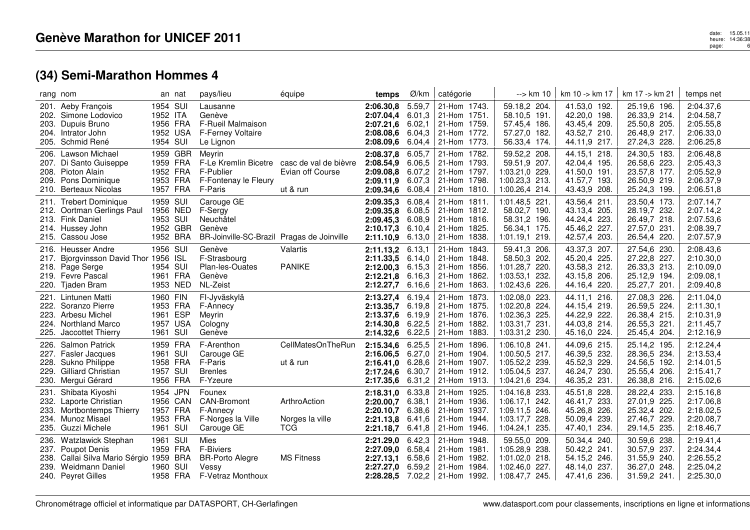## date: 15.05.11<br>heure: 14:36:38<br>page: 14:36:38 page:6

# **(34) Semi-Marathon Hommes 4**

|      | rang nom                                                                                                                         |                                                          | an nat                           | pays/lieu                                                                                  | équipe                                                                     | temps                                                                                  | Ø/km                                           | catégorie                                                                                                | $\rightarrow$ km 10                                                                       | km 10 -> km 17                                                               | km 17 -> km 21                                                               | temps net                                                     |
|------|----------------------------------------------------------------------------------------------------------------------------------|----------------------------------------------------------|----------------------------------|--------------------------------------------------------------------------------------------|----------------------------------------------------------------------------|----------------------------------------------------------------------------------------|------------------------------------------------|----------------------------------------------------------------------------------------------------------|-------------------------------------------------------------------------------------------|------------------------------------------------------------------------------|------------------------------------------------------------------------------|---------------------------------------------------------------|
|      | 201. Aeby François<br>202. Simone Lodovico<br>203. Dupuis Bruno<br>204. Intrator John<br>205. Schmid René                        | 1954 SUI<br>1952 ITA<br>1956 FRA<br>1952 USA<br>1954 SUI |                                  | Lausanne<br>Genève<br>F-Rueil Malmaison<br>F-Ferney Voltaire<br>Le Lignon                  |                                                                            | 2:06.30,8<br>2:07.04,4 6.01,3<br>2:07.21,6 6.02,1<br>2:08.08,6<br>2:08.09,6            | 5.59,7<br>6.04,3<br>6.04,4                     | 21-Hom 1743.<br>21-Hom 1751.<br>21-Hom 1759.<br>21-Hom 1772.<br>21-Hom 1773.                             | 59.18,2 204.<br>58.10,5 191.<br>57.45,4 186.<br>57.27,0 182.<br>56.33,4 174.              | 41.53,0 192.<br>42.20,0 198.<br>43.45,4 209.<br>43.52,7 210.<br>44.11,9 217. | 25.19,6 196.<br>26.33,9 214.<br>25.50,8 205.<br>26.48,9 217.<br>27.24,3 228. | 2:04.37,6<br>2:04.58,7<br>2:05.55,8<br>2:06.33,0<br>2:06.25,8 |
|      | 206. Lawson Michael<br>207. Di Santo Guiseppe<br>208. Pioton Alain<br>209. Pons Dominique<br>210. Berteaux Nicolas               | 1953 FRA<br>1957 FRA                                     | 1959 GBR<br>1959 FRA<br>1952 FRA | Meyrin<br>F-Publier<br>F-Fontenay le Fleury<br>F-Paris                                     | F-Le Kremlin Bicetre casc de val de bièvre<br>Evian off Course<br>ut & run | 2:08.37,8<br>2:08.54,9<br>2:09.08,8 6.07,2<br>2:09.11,9<br>2:09.34,6                   | 6.05,7<br>6.06.5<br>6.07,3<br>6.08,4           | 21-Hom 1782.<br>21-Hom 1793.<br>21-Hom 1797.<br>21-Hom 1798.<br>21-Hom 1810.                             | 59.52,2 208.<br>59.51,9 207.<br>1:03.21,0 229.<br>1:00.23,3 213.<br>1:00.26,4 214.        | 44.15,1 218.<br>42.04.4 195.<br>41.50,0 191.<br>41.57,7 193.<br>43.43,9 208. | 24.30,5 183.<br>26.58,6 223.<br>23.57,8 177.<br>26.50,9 219.<br>25.24,3 199. | 2:06.48,8<br>2:05.43,3<br>2:05.52,9<br>2:06.37,9<br>2:06.51,8 |
|      | 211. Trebert Dominique<br>212. Oortman Gerlings Paul<br>213. Fink Daniel<br>214. Hussey John<br>215. Cassou Jose                 | 1959 SUI<br>1953 SUI<br>1952 BRA                         | 1956 NED<br>1952 GBR             | Carouge GE<br>F-Sergy<br>Neuchâtel<br>Genève<br>BR-Joinville-SC-Brazil Pragas de Joinville |                                                                            | 2:09.35,3<br>2:09.35,8<br>2:09.45,3 6.08,9<br>2:10.17,3<br>2:11.10,9                   | 6.08,4<br>6.08,5<br>6.10,4<br>6.13,0           | 21-Hom 1811.<br>21-Hom 1812.<br>21-Hom 1816.<br>21-Hom 1825.<br>21-Hom 1838.                             | 1:01.48,5 221.<br>58.02,7 190.<br>58.31,2 196.<br>56.34,1 175.<br>1:01.19,1 219.          | 43.56,4 211.<br>43.13,4 205.<br>44.24,4 223.<br>45.46,2 227.<br>42.57,4 203. | 23.50,4 173.<br>28.19,7 232.<br>26.49,7 218.<br>27.57,0 231.<br>26.54,4 220. | 2:07.14,7<br>2:07.14,2<br>2:07.53,6<br>2:08.39,7<br>2:07.57,9 |
|      | 216. Heusser Andre<br>217. Bjorgvinsson David Thor 1956 ISL<br>218. Page Serge<br>219. Fevre Pascal<br>220. Tjaden Bram          | 1956 SUI<br>1954 SUI<br>1961 FRA                         | 1953 NED                         | Genève<br>F-Strasbourg<br>Plan-les-Ouates<br>Genève<br>NL-Zeist                            | Valartis<br><b>PANIKE</b>                                                  | 2:11.13,2 6.13,1<br>$2:11.33,5$ 6.14,0<br>$2:12.00,3$ 6.15,3<br>2:12.21.8<br>2:12.27,7 | 6.16,3<br>6.16,6                               | 21-Hom 1843.<br>21-Hom 1848.<br>21-Hom 1856.<br>21-Hom 1862.<br>  21-Hom $1863.$                         | 59.41,3 206.<br>58.50,3 202.<br>1:01.28,7 220.<br>1:03.53,1 232.<br>1:02.43,6 226.        | 43.37,3 207.<br>45.20,4 225.<br>43.58,3 212.<br>43.15,8 206.<br>44.16,4 220. | 27.54,6 230.<br>27.22,8 227.<br>26.33,3 213.<br>25.12,9 194.<br>25.27,7 201. | 2:08.43,6<br>2:10.30,0<br>2:10.09,0<br>2:09.08.1<br>2:09.40,8 |
| 223. | 221. Lintunen Matti<br>222. Soranzo Pierre<br>Arbesu Michel<br>224. Northland Marco<br>225. Jaccottet Thierry                    | 1960 FIN<br>1953 FRA<br>1961 ESP<br>1957 USA<br>1961 SUI |                                  | FI-Jyväskylä<br>F-Annecy<br>Meyrin<br>Cologny<br>Genève                                    |                                                                            | 2:13.27,4<br>2:13.35,7<br>2:13.37,6<br>2:14.30.8<br>2:14.32,6                          | 6.19,4<br>6.19,8<br>6.19,9<br>6.22,5<br>6.22,5 | 21-Hom 1873.<br>21-Hom 1875.<br>21-Hom 1876.<br>21-Hom 1882.<br>21-Hom 1883.                             | 1:02.08,0 223.<br>1:02.20,8 224.<br>1:02.36,3 225.<br>1:03.31,7 231.<br>1:03.31,2 230.    | 44.11,1 216.<br>44.15,4 219.<br>44.22,9 222.<br>44.03,8 214.<br>45.16,0 224. | 27.08,3 226.<br>26.59,5 224.<br>26.38,4 215.<br>26.55,3 221.<br>25.45,4 204. | 2:11.04,0<br>2:11.30,1<br>2:10.31,9<br>2:11.45,7<br>2:12.16,9 |
|      | 226. Salmon Patrick<br>227. Fasler Jacques<br>228. Sukno Philippe<br>229. Gilliard Christian<br>230. Mergui Gérard               | 1959 FRA<br>1961 SUI<br>1958 FRA<br>1957 SUI<br>1956 FRA |                                  | F-Arenthon<br>Carouge GE<br>F-Paris<br><b>Brenles</b><br>F-Yzeure                          | CellMatesOnTheRun<br>ut & run                                              | 2:15.34,6<br>2:16.06,5<br>2:16.41,0 6.28,6<br>2:17.24,6 6.30,7<br>2:17.35,6            | 6.25,5<br>6.27,0<br>6.31,2                     | 21-Hom 1896.<br>21-Hom 1904.<br>21-Hom 1907.<br>21-Hom 1912.<br>21-Hom 1913.                             | 1:06.10,8 241.<br>1:00.50,5 217.<br>1:05.52,2 239.<br>1:05.04.5 237.<br>1:04.21,6 234.    | 44.09,6 215.<br>46.39,5 232.<br>45.52,3 229.<br>46.24,7 230.<br>46.35,2 231. | 25.14,2 195.<br>28.36,5 234.<br>24.56,5 192.<br>25.55,4 206.<br>26.38,8 216. | 2:12.24,4<br>2:13.53,4<br>2:14.01,5<br>2:15.41,7<br>2:15.02,6 |
| 231. | Shibata Kiyoshi<br>232. Laporte Christian<br>233. Mortbontemps Thierry<br>234. Munoz Misael<br>235. Guzzi Michele                | 1954 JPN<br>1957 FRA<br>1953 FRA<br>1961 SUI             | 1956 CAN                         | Founex<br><b>CAN-Bromont</b><br>F-Annecy<br>F-Norges la Ville<br>Carouge GE                | ArthroAction<br>Norges la ville<br><b>TCG</b>                              | 2:18.31,0<br>2:20.00,7<br>2:20.10,7<br>2:21.13,8<br>2:21.18,7                          | 6.33.8<br>6.38,1<br>6.38,6<br>6.41,6<br>6.41,8 | 21-Hom 1925.<br>21-Hom 1936.<br>21-Hom 1937.<br>21-Hom 1944.<br>21-Hom 1946.                             | 1:04.16,8 233.<br>1:06.17,1 242.<br>1:09.11,5 246.<br>1:03.17,7 228.<br>1:04.24,1 235.    | 45.51,8 228.<br>46.41,7 233.<br>45.26,8 226.<br>50.09,4 239.<br>47.40,1 234. | 28.22,4 233.<br>27.01,9 225.<br>25.32,4 202.<br>27.46,7 229.<br>29.14,5 235. | 2:15.16,8<br>2:17.06,8<br>2:18.02,5<br>2:20.08,7<br>2:18.46,7 |
| 236. | Watzlawick Stephan<br>237. Poupot Denis<br>238. Callai Silva Mario Sérgio 1959 BRA<br>239. Weidmann Daniel<br>240. Peyret Gilles | 1961 SUI<br>1959 FRA<br>1960 SUI                         | 1958 FRA                         | Mies<br><b>F-Biviers</b><br><b>BR-Porto Alegre</b><br>Vessy<br>F-Vetraz Monthoux           | <b>MS Fitness</b>                                                          | 2:21.29.0<br>2:27.09,0<br>2:27.13,1<br>2:27.27,0 6.59,2                                | 6.42,3<br>6.58,4<br>6.58.6                     | 21-Hom 1948.<br>21-Hom 1981.<br>21-Hom 1982.<br>21-Hom 1984.<br><b>2:28.28.5</b> $7.02,2$   21-Hom 1992. | 59.55,0 209.<br>1:05.28,9 238.<br>$1:01.02,0$ 218.<br>1:02.46,0<br>227.<br>1:08.47,7 245. | 50.34,4 240.<br>50.42,2 241.<br>54.15,2 246.<br>48.14,0 237.<br>47.41,6 236. | 30.59,6 238.<br>30.57,9 237.<br>31.55,9 240.<br>36.27,0 248.<br>31.59,2 241. | 2:19.41,4<br>2:24.34,4<br>2:26.55,2<br>2:25.04,2<br>2:25.30,0 |